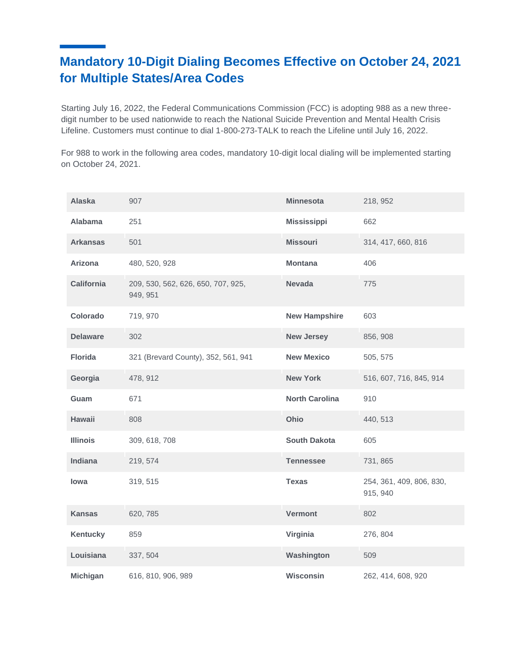# **Mandatory 10-Digit Dialing Becomes Effective on October 24, 2021 for Multiple States/Area Codes**

Starting July 16, 2022, the Federal Communications Commission (FCC) is adopting 988 as a new threedigit number to be used nationwide to reach the National Suicide Prevention and Mental Health Crisis Lifeline. Customers must continue to dial 1-800-273-TALK to reach the Lifeline until July 16, 2022.

For 988 to work in the following area codes, mandatory 10-digit local dialing will be implemented starting on October 24, 2021.

| <b>Alaska</b>     | 907                                            | <b>Minnesota</b>      | 218, 952                             |
|-------------------|------------------------------------------------|-----------------------|--------------------------------------|
| Alabama           | 251                                            | <b>Mississippi</b>    | 662                                  |
| <b>Arkansas</b>   | 501                                            | <b>Missouri</b>       | 314, 417, 660, 816                   |
| Arizona           | 480, 520, 928                                  | <b>Montana</b>        | 406                                  |
| <b>California</b> | 209, 530, 562, 626, 650, 707, 925,<br>949, 951 | <b>Nevada</b>         | 775                                  |
| Colorado          | 719, 970                                       | <b>New Hampshire</b>  | 603                                  |
| <b>Delaware</b>   | 302                                            | <b>New Jersey</b>     | 856, 908                             |
| <b>Florida</b>    | 321 (Brevard County), 352, 561, 941            | <b>New Mexico</b>     | 505, 575                             |
| Georgia           | 478, 912                                       | <b>New York</b>       | 516, 607, 716, 845, 914              |
| Guam              | 671                                            | <b>North Carolina</b> | 910                                  |
| <b>Hawaii</b>     | 808                                            | Ohio                  | 440, 513                             |
| <b>Illinois</b>   | 309, 618, 708                                  | <b>South Dakota</b>   | 605                                  |
| Indiana           | 219, 574                                       | <b>Tennessee</b>      | 731, 865                             |
| lowa              | 319, 515                                       | <b>Texas</b>          | 254, 361, 409, 806, 830,<br>915, 940 |
| <b>Kansas</b>     | 620, 785                                       | <b>Vermont</b>        | 802                                  |
| <b>Kentucky</b>   | 859                                            | Virginia              | 276, 804                             |
| Louisiana         | 337, 504                                       | Washington            | 509                                  |
| <b>Michigan</b>   | 616, 810, 906, 989                             | <b>Wisconsin</b>      | 262, 414, 608, 920                   |